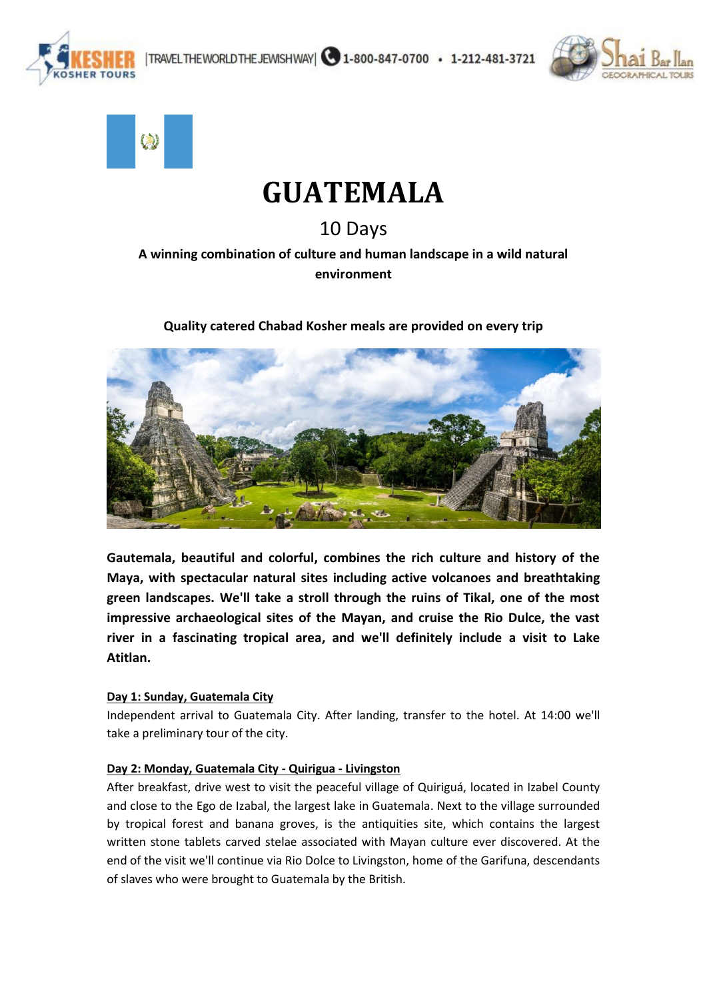





# **GUATEMALA**

10 Days

# **A winning combination of culture and human landscape in a wild natural environment**

# **Quality catered Chabad Kosher meals are provided on every trip**



**Gautemala, beautiful and colorful, combines the rich culture and history of the Maya, with spectacular natural sites including active volcanoes and breathtaking green landscapes. We'll take a stroll through the ruins of Tikal, one of the most impressive archaeological sites of the Mayan, and cruise the Rio Dulce, the vast river in a fascinating tropical area, and we'll definitely include a visit to Lake Atitlan.**

## **Day 1: Sunday, Guatemala City**

Independent arrival to Guatemala City. After landing, transfer to the hotel. At 14:00 we'll take a preliminary tour of the city.

# **Day 2: Monday, Guatemala City - Quirigua - Livingston**

After breakfast, drive west to visit the peaceful village of Quiriguá, located in Izabel County and close to the Ego de Izabal, the largest lake in Guatemala. Next to the village surrounded by tropical forest and banana groves, is the antiquities site, which contains the largest written stone tablets carved stelae associated with Mayan culture ever discovered. At the end of the visit we'll continue via Rio Dolce to Livingston, home of the Garifuna, descendants of slaves who were brought to Guatemala by the British.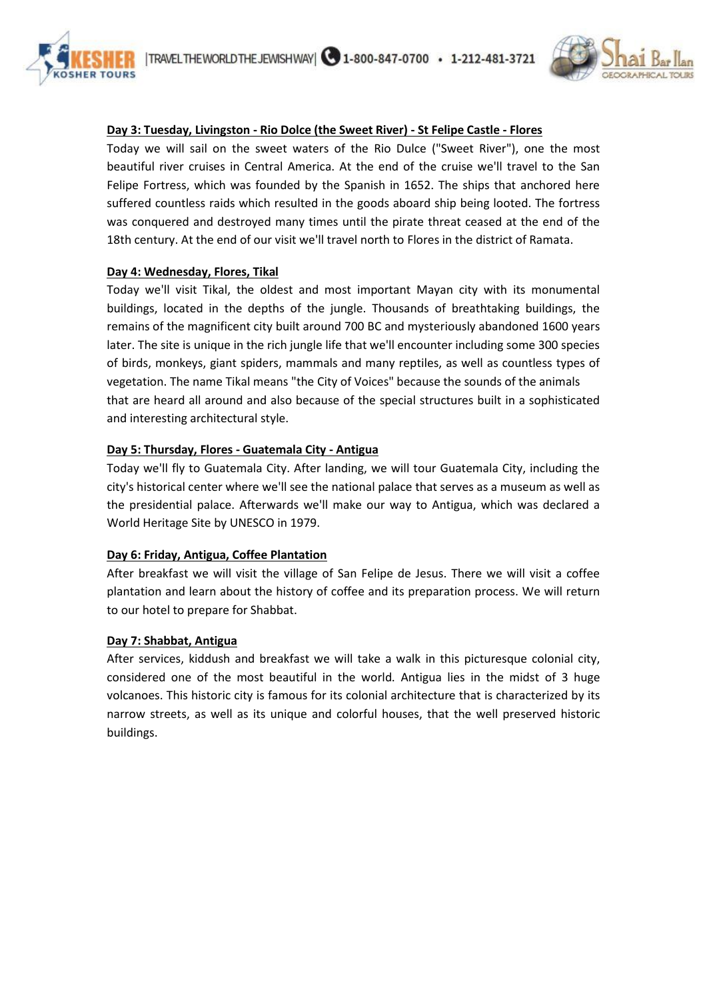



#### **Day 3: Tuesday, Livingston - Rio Dolce (the Sweet River) - St Felipe Castle - Flores**

Today we will sail on the sweet waters of the Rio Dulce ("Sweet River"), one the most beautiful river cruises in Central America. At the end of the cruise we'll travel to the San Felipe Fortress, which was founded by the Spanish in 1652. The ships that anchored here suffered countless raids which resulted in the goods aboard ship being looted. The fortress was conquered and destroyed many times until the pirate threat ceased at the end of the 18th century. At the end of our visit we'll travel north to Flores in the district of Ramata.

#### **Day 4: Wednesday, Flores, Tikal**

Today we'll visit Tikal, the oldest and most important Mayan city with its monumental buildings, located in the depths of the jungle. Thousands of breathtaking buildings, the remains of the magnificent city built around 700 BC and mysteriously abandoned 1600 years later. The site is unique in the rich jungle life that we'll encounter including some 300 species of birds, monkeys, giant spiders, mammals and many reptiles, as well as countless types of vegetation. The name Tikal means "the City of Voices" because the sounds of the animals that are heard all around and also because of the special structures built in a sophisticated and interesting architectural style.

#### **Day 5: Thursday, Flores - Guatemala City - Antigua**

Today we'll fly to Guatemala City. After landing, we will tour Guatemala City, including the city's historical center where we'll see the national palace that serves as a museum as well as the presidential palace. Afterwards we'll make our way to Antigua, which was declared a World Heritage Site by UNESCO in 1979.

#### **Day 6: Friday, Antigua, Coffee Plantation**

After breakfast we will visit the village of San Felipe de Jesus. There we will visit a coffee plantation and learn about the history of coffee and its preparation process. We will return to our hotel to prepare for Shabbat.

#### **Day 7: Shabbat, Antigua**

After services, kiddush and breakfast we will take a walk in this picturesque colonial city, considered one of the most beautiful in the world. Antigua lies in the midst of 3 huge volcanoes. This historic city is famous for its colonial architecture that is characterized by its narrow streets, as well as its unique and colorful houses, that the well preserved historic buildings.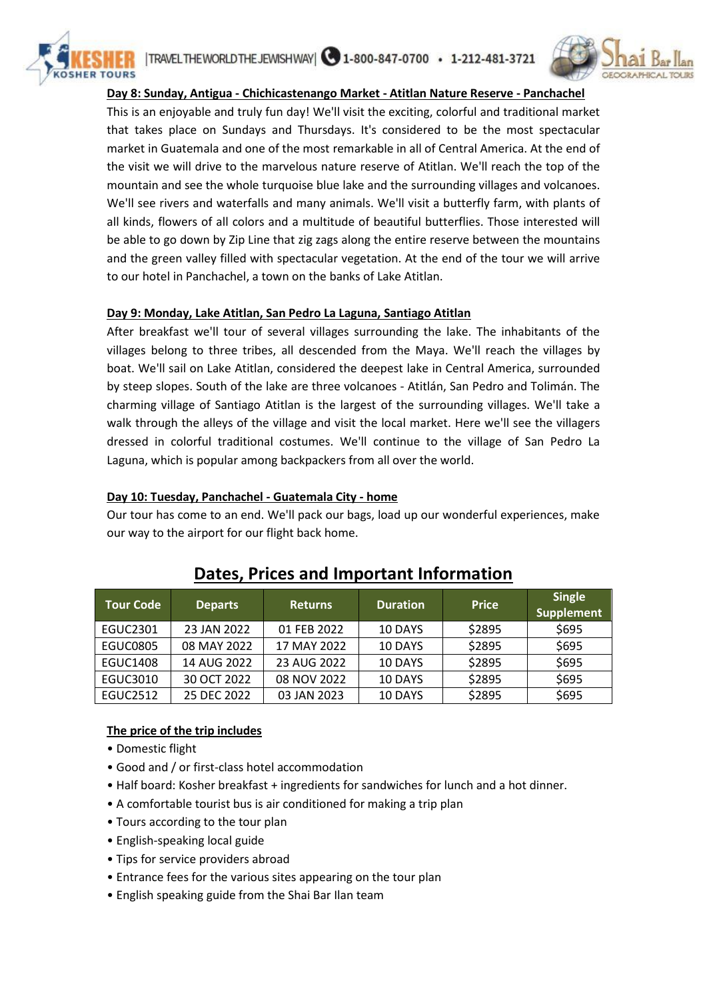



#### **Day 8: Sunday, Antigua - Chichicastenango Market - Atitlan Nature Reserve - Panchachel**

This is an enjoyable and truly fun day! We'll visit the exciting, colorful and traditional market that takes place on Sundays and Thursdays. It's considered to be the most spectacular market in Guatemala and one of the most remarkable in all of Central America. At the end of the visit we will drive to the marvelous nature reserve of Atitlan. We'll reach the top of the mountain and see the whole turquoise blue lake and the surrounding villages and volcanoes. We'll see rivers and waterfalls and many animals. We'll visit a butterfly farm, with plants of all kinds, flowers of all colors and a multitude of beautiful butterflies. Those interested will be able to go down by Zip Line that zig zags along the entire reserve between the mountains and the green valley filled with spectacular vegetation. At the end of the tour we will arrive to our hotel in Panchachel, a town on the banks of Lake Atitlan.

#### **Day 9: Monday, Lake Atitlan, San Pedro La Laguna, Santiago Atitlan**

After breakfast we'll tour of several villages surrounding the lake. The inhabitants of the villages belong to three tribes, all descended from the Maya. We'll reach the villages by boat. We'll sail on Lake Atitlan, considered the deepest lake in Central America, surrounded by steep slopes. South of the lake are three volcanoes - Atitlán, San Pedro and Tolimán. The charming village of Santiago Atitlan is the largest of the surrounding villages. We'll take a walk through the alleys of the village and visit the local market. Here we'll see the villagers dressed in colorful traditional costumes. We'll continue to the village of San Pedro La Laguna, which is popular among backpackers from all over the world.

#### **Day 10: Tuesday, Panchachel - Guatemala City - home**

Our tour has come to an end. We'll pack our bags, load up our wonderful experiences, make our way to the airport for our flight back home.

| <b>Tour Code</b> | <b>Departs</b> | <b>Returns</b> | <b>Duration</b> | <b>Price</b> | <b>Single</b><br><b>Supplement</b> |
|------------------|----------------|----------------|-----------------|--------------|------------------------------------|
| EGUC2301         | 23 JAN 2022    | 01 FEB 2022    | 10 DAYS         | \$2895       | \$695                              |
| <b>EGUC0805</b>  | 08 MAY 2022    | 17 MAY 2022    | 10 DAYS         | \$2895       | \$695                              |
| <b>EGUC1408</b>  | 14 AUG 2022    | 23 AUG 2022    | 10 DAYS         | \$2895       | \$695                              |
| EGUC3010         | 30 OCT 2022    | 08 NOV 2022    | 10 DAYS         | \$2895       | \$695                              |
| EGUC2512         | 25 DEC 2022    | 03 JAN 2023    | 10 DAYS         | \$2895       | \$695                              |

# **Dates, Prices and Important Information**

## **The price of the trip includes**

- Domestic flight
- Good and / or first-class hotel accommodation
- Half board: Kosher breakfast + ingredients for sandwiches for lunch and a hot dinner.
- A comfortable tourist bus is air conditioned for making a trip plan
- Tours according to the tour plan
- English-speaking local guide
- Tips for service providers abroad
- Entrance fees for the various sites appearing on the tour plan
- English speaking guide from the Shai Bar Ilan team